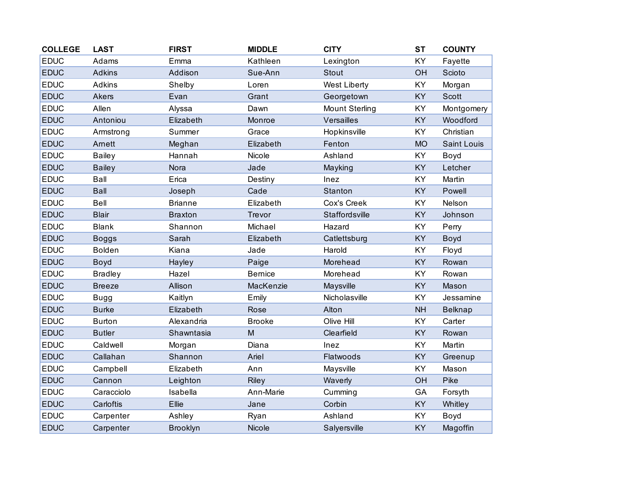| <b>COLLEGE</b> | <b>LAST</b>    | <b>FIRST</b>    | <b>MIDDLE</b>  | <b>CITY</b>           | <b>ST</b> | <b>COUNTY</b>  |
|----------------|----------------|-----------------|----------------|-----------------------|-----------|----------------|
| <b>EDUC</b>    | Adams          | Emma            | Kathleen       | Lexington             | KY        | Fayette        |
| <b>EDUC</b>    | <b>Adkins</b>  | Addison         | Sue-Ann        | <b>Stout</b>          | OH        | Scioto         |
| <b>EDUC</b>    | <b>Adkins</b>  | Shelby          | Loren          | <b>West Liberty</b>   | KY        | Morgan         |
| <b>EDUC</b>    | <b>Akers</b>   | Evan            | Grant          | Georgetown            | <b>KY</b> | <b>Scott</b>   |
| <b>EDUC</b>    | Allen          | Alyssa          | Dawn           | <b>Mount Sterling</b> | KY        | Montgomery     |
| <b>EDUC</b>    | Antoniou       | Elizabeth       | Monroe         | Versailles            | KY        | Woodford       |
| <b>EDUC</b>    | Armstrong      | Summer          | Grace          | Hopkinsville          | KY        | Christian      |
| <b>EDUC</b>    | Arnett         | Meghan          | Elizabeth      | Fenton                | <b>MO</b> | Saint Louis    |
| <b>EDUC</b>    | <b>Bailey</b>  | Hannah          | Nicole         | Ashland               | KY        | Boyd           |
| <b>EDUC</b>    | <b>Bailey</b>  | Nora            | Jade           | Mayking               | KY        | Letcher        |
| <b>EDUC</b>    | Ball           | Erica           | Destiny        | Inez                  | KY        | Martin         |
| <b>EDUC</b>    | <b>Ball</b>    | Joseph          | Cade           | Stanton               | KY        | Powell         |
| <b>EDUC</b>    | <b>Bell</b>    | <b>Brianne</b>  | Elizabeth      | Cox's Creek           | KY        | Nelson         |
| <b>EDUC</b>    | <b>Blair</b>   | <b>Braxton</b>  | Trevor         | Staffordsville        | KY        | Johnson        |
| <b>EDUC</b>    | <b>Blank</b>   | Shannon         | Michael        | Hazard                | KY        | Perry          |
| <b>EDUC</b>    | <b>Boggs</b>   | Sarah           | Elizabeth      | Catlettsburg          | KY        | Boyd           |
| <b>EDUC</b>    | <b>Bolden</b>  | Kiana           | Jade           | Harold                | KY        | Floyd          |
| <b>EDUC</b>    | Boyd           | Hayley          | Paige          | Morehead              | <b>KY</b> | Rowan          |
| <b>EDUC</b>    | <b>Bradley</b> | Hazel           | <b>Bernice</b> | Morehead              | <b>KY</b> | Rowan          |
| <b>EDUC</b>    | <b>Breeze</b>  | Allison         | MacKenzie      | Maysville             | <b>KY</b> | Mason          |
| <b>EDUC</b>    | <b>Bugg</b>    | Kaitlyn         | Emily          | Nicholasville         | KY        | Jessamine      |
| <b>EDUC</b>    | <b>Burke</b>   | Elizabeth       | Rose           | Alton                 | <b>NH</b> | <b>Belknap</b> |
| <b>EDUC</b>    | <b>Burton</b>  | Alexandria      | <b>Brooke</b>  | Olive Hill            | KY        | Carter         |
| <b>EDUC</b>    | <b>Butler</b>  | Shawntasia      | M              | Clearfield            | <b>KY</b> | Rowan          |
| <b>EDUC</b>    | Caldwell       | Morgan          | Diana          | Inez                  | <b>KY</b> | Martin         |
| <b>EDUC</b>    | Callahan       | Shannon         | Ariel          | Flatwoods             | KY        | Greenup        |
| <b>EDUC</b>    | Campbell       | Elizabeth       | Ann            | Maysville             | KY        | Mason          |
| <b>EDUC</b>    | Cannon         | Leighton        | <b>Riley</b>   | Waverly               | OH        | Pike           |
| <b>EDUC</b>    | Caracciolo     | Isabella        | Ann-Marie      | Cumming               | GA        | Forsyth        |
| <b>EDUC</b>    | Carloftis      | Ellie           | Jane           | Corbin                | KY        | Whitley        |
| <b>EDUC</b>    | Carpenter      | Ashley          | Ryan           | Ashland               | KY        | Boyd           |
| <b>EDUC</b>    | Carpenter      | <b>Brooklyn</b> | Nicole         | Salyersville          | KY        | Magoffin       |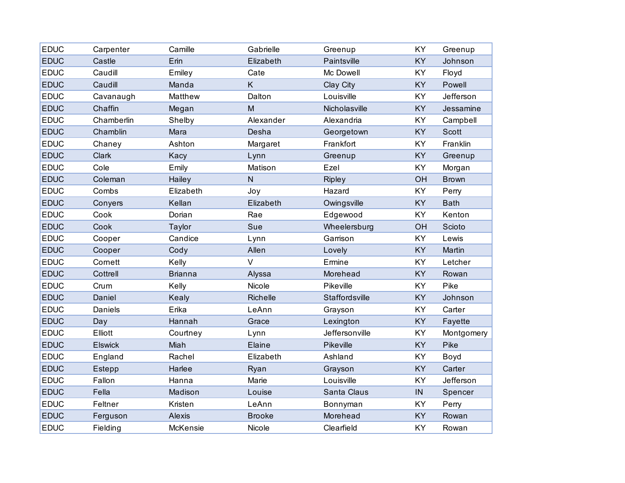| <b>EDUC</b> | Carpenter      | Camille        | Gabrielle     | Greenup        | KY        | Greenup      |
|-------------|----------------|----------------|---------------|----------------|-----------|--------------|
| <b>EDUC</b> | Castle         | Erin           | Elizabeth     | Paintsville    | <b>KY</b> | Johnson      |
| <b>EDUC</b> | Caudill        | Emiley         | Cate          | Mc Dowell      | KY        | Floyd        |
| <b>EDUC</b> | Caudill        | Manda          | K             | Clay City      | KY        | Powell       |
| <b>EDUC</b> | Cavanaugh      | Matthew        | Dalton        | Louisville     | KY        | Jefferson    |
| <b>EDUC</b> | Chaffin        | Megan          | M             | Nicholasville  | <b>KY</b> | Jessamine    |
| <b>EDUC</b> | Chamberlin     | Shelby         | Alexander     | Alexandria     | KY        | Campbell     |
| <b>EDUC</b> | Chamblin       | Mara           | Desha         | Georgetown     | <b>KY</b> | <b>Scott</b> |
| <b>EDUC</b> | Chaney         | Ashton         | Margaret      | Frankfort      | KY        | Franklin     |
| <b>EDUC</b> | Clark          | Kacy           | Lynn          | Greenup        | <b>KY</b> | Greenup      |
| <b>EDUC</b> | Cole           | Emily          | Matison       | Ezel           | KY        | Morgan       |
| <b>EDUC</b> | Coleman        | Hailey         | $\mathsf{N}$  | <b>Ripley</b>  | OH        | <b>Brown</b> |
| <b>EDUC</b> | Combs          | Elizabeth      | Joy           | Hazard         | KY        | Perry        |
| <b>EDUC</b> | Conyers        | Kellan         | Elizabeth     | Owingsville    | <b>KY</b> | <b>Bath</b>  |
| <b>EDUC</b> | Cook           | Dorian         | Rae           | Edgewood       | KY        | Kenton       |
| <b>EDUC</b> | Cook           | Taylor         | Sue           | Wheelersburg   | OH        | Scioto       |
| <b>EDUC</b> | Cooper         | Candice        | Lynn          | Garrison       | KY        | Lewis        |
| <b>EDUC</b> | Cooper         | Cody           | Allen         | Lovely         | KY        | Martin       |
| <b>EDUC</b> | Cornett        | Kelly          | $\vee$        | Ermine         | KY        | Letcher      |
| <b>EDUC</b> | Cottrell       | <b>Brianna</b> | Alyssa        | Morehead       | KY        | Rowan        |
| <b>EDUC</b> | Crum           | Kelly          | Nicole        | Pikeville      | KY        | Pike         |
| <b>EDUC</b> | Daniel         | Kealy          | Richelle      | Staffordsville | KY        | Johnson      |
| <b>EDUC</b> | Daniels        | Erika          | LeAnn         | Grayson        | KY        | Carter       |
| <b>EDUC</b> | Day            | Hannah         | Grace         | Lexington      | <b>KY</b> | Fayette      |
| <b>EDUC</b> | Elliott        | Courtney       | Lynn          | Jeffersonville | KY        | Montgomery   |
| <b>EDUC</b> | <b>Elswick</b> | Miah           | Elaine        | Pikeville      | KY        | Pike         |
| <b>EDUC</b> | England        | Rachel         | Elizabeth     | Ashland        | KY        | Boyd         |
| <b>EDUC</b> | Estepp         | Harlee         | Ryan          | Grayson        | KY        | Carter       |
| <b>EDUC</b> | Fallon         | Hanna          | Marie         | Louisville     | KY        | Jefferson    |
| <b>EDUC</b> | Fella          | Madison        | Louise        | Santa Claus    | $\sf IN$  | Spencer      |
| <b>EDUC</b> | Feltner        | Kristen        | LeAnn         | Bonnyman       | KY        | Perry        |
| <b>EDUC</b> | Ferguson       | Alexis         | <b>Brooke</b> | Morehead       | KY        | Rowan        |
| <b>EDUC</b> | Fielding       | McKensie       | Nicole        | Clearfield     | KY        | Rowan        |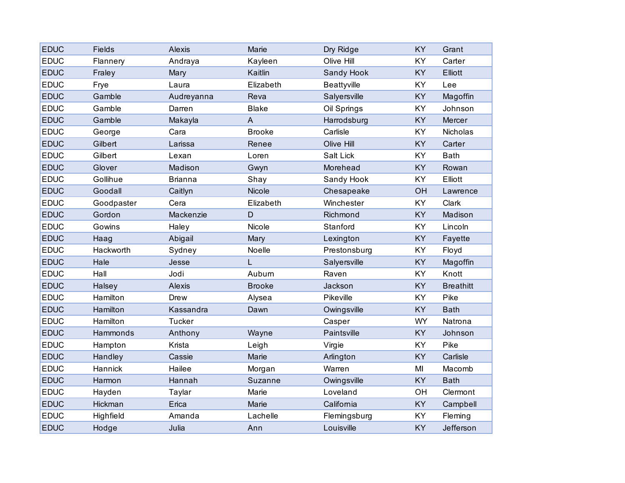| <b>EDUC</b> | <b>Fields</b> | <b>Alexis</b>  | Marie         | Dry Ridge          | KY        | Grant            |
|-------------|---------------|----------------|---------------|--------------------|-----------|------------------|
| <b>EDUC</b> | Flannery      | Andraya        | Kayleen       | Olive Hill         | <b>KY</b> | Carter           |
| <b>EDUC</b> | Fraley        | Mary           | Kaitlin       | Sandy Hook         | KY        | <b>Elliott</b>   |
| <b>EDUC</b> | Frye          | Laura          | Elizabeth     | <b>Beattyville</b> | KY        | Lee              |
| <b>EDUC</b> | Gamble        | Audreyanna     | Reva          | Salyersville       | <b>KY</b> | Magoffin         |
| <b>EDUC</b> | Gamble        | Darren         | <b>Blake</b>  | Oil Springs        | KY        | Johnson          |
| <b>EDUC</b> | Gamble        | Makayla        | A             | Harrodsburg        | KY        | Mercer           |
| <b>EDUC</b> | George        | Cara           | <b>Brooke</b> | Carlisle           | KY        | Nicholas         |
| <b>EDUC</b> | Gilbert       | Larissa        | Renee         | Olive Hill         | KY        | Carter           |
| <b>EDUC</b> | Gilbert       | Lexan          | Loren         | Salt Lick          | <b>KY</b> | <b>Bath</b>      |
| <b>EDUC</b> | Glover        | Madison        | Gwyn          | Morehead           | KY        | Rowan            |
| <b>EDUC</b> | Gollihue      | <b>Brianna</b> | Shay          | Sandy Hook         | KY        | Elliott          |
| <b>EDUC</b> | Goodall       | Caitlyn        | Nicole        | Chesapeake         | OH        | Lawrence         |
| <b>EDUC</b> | Goodpaster    | Cera           | Elizabeth     | Winchester         | KY        | Clark            |
| <b>EDUC</b> | Gordon        | Mackenzie      | D             | Richmond           | <b>KY</b> | Madison          |
| <b>EDUC</b> | Gowins        | Haley          | Nicole        | Stanford           | KY        | Lincoln          |
| <b>EDUC</b> | Haag          | Abigail        | Mary          | Lexington          | KY        | Fayette          |
| <b>EDUC</b> | Hackworth     | Sydney         | Noelle        | Prestonsburg       | KY        | Floyd            |
| <b>EDUC</b> | Hale          | Jesse          | L             | Salyersville       | KY        | Magoffin         |
| <b>EDUC</b> | Hall          | Jodi           | Auburn        | Raven              | KY        | Knott            |
| <b>EDUC</b> | Halsey        | Alexis         | <b>Brooke</b> | Jackson            | <b>KY</b> | <b>Breathitt</b> |
| <b>EDUC</b> | Hamilton      | Drew           | Alysea        | Pikeville          | KY        | Pike             |
| <b>EDUC</b> | Hamilton      | Kassandra      | Dawn          | Owingsville        | KY        | <b>Bath</b>      |
| <b>EDUC</b> | Hamilton      | <b>Tucker</b>  |               | Casper             | WY        | Natrona          |
| <b>EDUC</b> | Hammonds      | Anthony        | Wayne         | Paintsville        | <b>KY</b> | Johnson          |
| <b>EDUC</b> | Hampton       | Krista         | Leigh         | Virgie             | KY        | Pike             |
| <b>EDUC</b> | Handley       | Cassie         | Marie         | Arlington          | KY        | Carlisle         |
| <b>EDUC</b> | Hannick       | Hailee         | Morgan        | Warren             | MI        | Macomb           |
| <b>EDUC</b> | Harmon        | Hannah         | Suzanne       | Owingsville        | KY        | <b>Bath</b>      |
| <b>EDUC</b> | Hayden        | Taylar         | Marie         | Loveland           | OH        | Clermont         |
| <b>EDUC</b> | Hickman       | Erica          | Marie         | California         | <b>KY</b> | Campbell         |
| <b>EDUC</b> | Highfield     | Amanda         | Lachelle      | Flemingsburg       | KY        | Fleming          |
| <b>EDUC</b> | Hodge         | Julia          | Ann           | Louisville         | KY        | Jefferson        |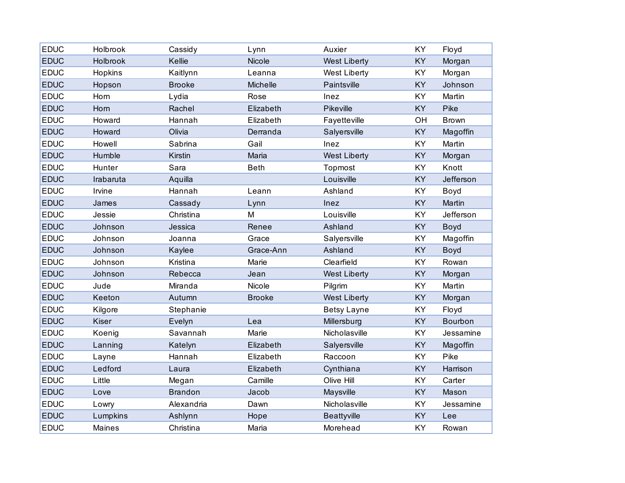| <b>EDUC</b> | Holbrook  | Cassidy        | Lynn            | Auxier              | KY        | Floyd        |
|-------------|-----------|----------------|-----------------|---------------------|-----------|--------------|
| <b>EDUC</b> | Holbrook  | Kellie         | Nicole          | <b>West Liberty</b> | KY        | Morgan       |
| <b>EDUC</b> | Hopkins   | Kaitlynn       | Leanna          | <b>West Liberty</b> | KY        | Morgan       |
| <b>EDUC</b> | Hopson    | <b>Brooke</b>  | <b>Michelle</b> | Paintsville         | KY        | Johnson      |
| <b>EDUC</b> | Horn      | Lydia          | Rose            | Inez                | KY        | Martin       |
| <b>EDUC</b> | Horn      | Rachel         | Elizabeth       | Pikeville           | KY        | Pike         |
| <b>EDUC</b> | Howard    | Hannah         | Elizabeth       | Fayetteville        | OH        | <b>Brown</b> |
| <b>EDUC</b> | Howard    | Olivia         | Derranda        | Salyersville        | KY        | Magoffin     |
| <b>EDUC</b> | Howell    | Sabrina        | Gail            | Inez                | KY        | Martin       |
| <b>EDUC</b> | Humble    | Kirstin        | Maria           | <b>West Liberty</b> | KY        | Morgan       |
| <b>EDUC</b> | Hunter    | Sara           | <b>Beth</b>     | Topmost             | KY        | Knott        |
| <b>EDUC</b> | Irabaruta | Aquilla        |                 | Louisville          | KY        | Jefferson    |
| <b>EDUC</b> | Irvine    | Hannah         | Leann           | Ashland             | KY        | Boyd         |
| <b>EDUC</b> | James     | Cassady        | Lynn            | Inez                | KY        | Martin       |
| <b>EDUC</b> | Jessie    | Christina      | M               | Louisville          | KY        | Jefferson    |
| <b>EDUC</b> | Johnson   | Jessica        | Renee           | Ashland             | <b>KY</b> | Boyd         |
| <b>EDUC</b> | Johnson   | Joanna         | Grace           | Salyersville        | KY        | Magoffin     |
| <b>EDUC</b> | Johnson   | Kaylee         | Grace-Ann       | Ashland             | KY        | <b>Boyd</b>  |
| <b>EDUC</b> | Johnson   | Kristina       | Marie           | Clearfield          | KY        | Rowan        |
| <b>EDUC</b> | Johnson   | Rebecca        | Jean            | <b>West Liberty</b> | KY        | Morgan       |
| <b>EDUC</b> | Jude      | Miranda        | Nicole          | Pilgrim             | KY        | Martin       |
| <b>EDUC</b> | Keeton    | Autumn         | <b>Brooke</b>   | <b>West Liberty</b> | KY        | Morgan       |
| <b>EDUC</b> | Kilgore   | Stephanie      |                 | <b>Betsy Layne</b>  | KY        | Floyd        |
| <b>EDUC</b> | Kiser     | Evelyn         | Lea             | Millersburg         | KY        | Bourbon      |
| <b>EDUC</b> | Koenig    | Savannah       | Marie           | Nicholasville       | KY        | Jessamine    |
| <b>EDUC</b> | Lanning   | Katelyn        | Elizabeth       | Salyersville        | KY        | Magoffin     |
| <b>EDUC</b> | Layne     | Hannah         | Elizabeth       | Raccoon             | KY        | Pike         |
| <b>EDUC</b> | Ledford   | Laura          | Elizabeth       | Cynthiana           | KY        | Harrison     |
| <b>EDUC</b> | Little    | Megan          | Camille         | Olive Hill          | KY        | Carter       |
| <b>EDUC</b> | Love      | <b>Brandon</b> | Jacob           | Maysville           | KY        | Mason        |
| <b>EDUC</b> | Lowry     | Alexandria     | Dawn            | Nicholasville       | KY        | Jessamine    |
| <b>EDUC</b> | Lumpkins  | Ashlynn        | Hope            | <b>Beattyville</b>  | KY        | Lee          |
| <b>EDUC</b> | Maines    | Christina      | Maria           | Morehead            | KY        | Rowan        |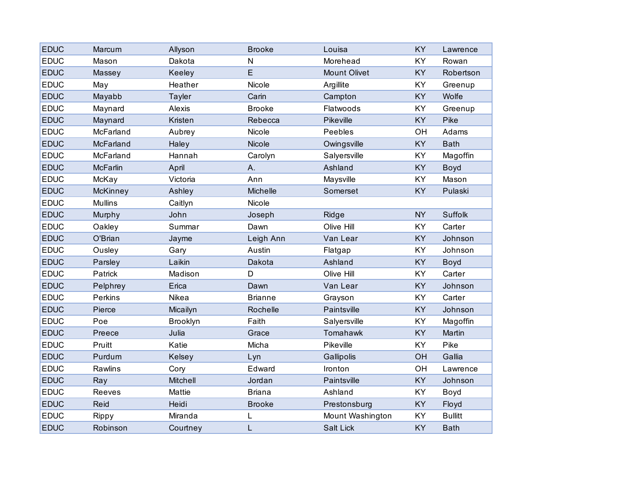| <b>EDUC</b> | Marcum          | Allyson       | <b>Brooke</b>   | Louisa              | <b>KY</b> | Lawrence       |
|-------------|-----------------|---------------|-----------------|---------------------|-----------|----------------|
| <b>EDUC</b> | Mason           | Dakota        | N               | Morehead            | KY        | Rowan          |
| <b>EDUC</b> | Massey          | Keeley        | E               | <b>Mount Olivet</b> | KY        | Robertson      |
| <b>EDUC</b> | May             | Heather       | Nicole          | Argillite           | KY        | Greenup        |
| <b>EDUC</b> | Mayabb          | <b>Tayler</b> | Carin           | Campton             | KY        | Wolfe          |
| <b>EDUC</b> | Maynard         | Alexis        | <b>Brooke</b>   | Flatwoods           | KY        | Greenup        |
| <b>EDUC</b> | Maynard         | Kristen       | Rebecca         | Pikeville           | KY        | Pike           |
| <b>EDUC</b> | McFarland       | Aubrey        | Nicole          | Peebles             | OH        | Adams          |
| <b>EDUC</b> | McFarland       | Haley         | Nicole          | Owingsville         | <b>KY</b> | <b>Bath</b>    |
| <b>EDUC</b> | McFarland       | Hannah        | Carolyn         | Salyersville        | <b>KY</b> | Magoffin       |
| <b>EDUC</b> | <b>McFarlin</b> | April         | Α.              | Ashland             | KY        | Boyd           |
| <b>EDUC</b> | McKay           | Victoria      | Ann             | Maysville           | KY        | Mason          |
| <b>EDUC</b> | <b>McKinney</b> | Ashley        | <b>Michelle</b> | Somerset            | <b>KY</b> | Pulaski        |
| <b>EDUC</b> | <b>Mullins</b>  | Caitlyn       | Nicole          |                     |           |                |
| <b>EDUC</b> | Murphy          | John          | Joseph          | Ridge               | <b>NY</b> | Suffolk        |
| <b>EDUC</b> | Oakley          | Summar        | Dawn            | Olive Hill          | KY        | Carter         |
| <b>EDUC</b> | O'Brian         | Jayme         | Leigh Ann       | Van Lear            | <b>KY</b> | Johnson        |
| <b>EDUC</b> | Ousley          | Gary          | Austin          | Flatgap             | KY        | Johnson        |
| <b>EDUC</b> | Parsley         | Laikin        | Dakota          | Ashland             | KY        | Boyd           |
| <b>EDUC</b> | Patrick         | Madison       | D               | Olive Hill          | KY        | Carter         |
| <b>EDUC</b> | Pelphrey        | Erica         | Dawn            | Van Lear            | <b>KY</b> | Johnson        |
| <b>EDUC</b> | Perkins         | Nikea         | <b>Brianne</b>  | Grayson             | KY        | Carter         |
| <b>EDUC</b> | Pierce          | Micailyn      | Rochelle        | Paintsville         | <b>KY</b> | Johnson        |
| <b>EDUC</b> | Poe             | Brooklyn      | Faith           | Salyersville        | KY        | Magoffin       |
| <b>EDUC</b> | Preece          | Julia         | Grace           | Tomahawk            | KY        | Martin         |
| <b>EDUC</b> | Pruitt          | Katie         | Micha           | Pikeville           | KY        | Pike           |
| <b>EDUC</b> | Purdum          | Kelsey        | Lyn             | Gallipolis          | OH        | Gallia         |
| <b>EDUC</b> | Rawlins         | Cory          | Edward          | Ironton             | OH        | Lawrence       |
| <b>EDUC</b> | Ray             | Mitchell      | Jordan          | Paintsville         | <b>KY</b> | Johnson        |
| <b>EDUC</b> | Reeves          | Mattie        | <b>Briana</b>   | Ashland             | KY        | Boyd           |
| <b>EDUC</b> | Reid            | Heidi         | <b>Brooke</b>   | Prestonsburg        | <b>KY</b> | Floyd          |
| <b>EDUC</b> | Rippy           | Miranda       | L               | Mount Washington    | KY        | <b>Bullitt</b> |
| <b>EDUC</b> | Robinson        | Courtney      | L               | Salt Lick           | KY        | <b>Bath</b>    |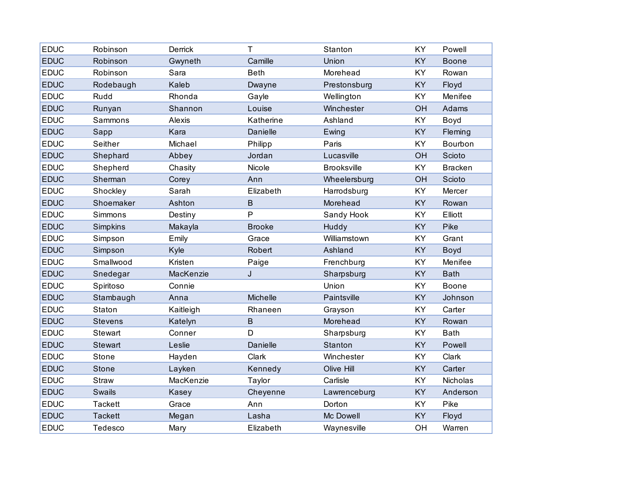| <b>EDUC</b> | Robinson        | Derrick   | T             | Stanton            | <b>KY</b> | Powell         |
|-------------|-----------------|-----------|---------------|--------------------|-----------|----------------|
| <b>EDUC</b> | Robinson        | Gwyneth   | Camille       | Union              | <b>KY</b> | <b>Boone</b>   |
| <b>EDUC</b> | Robinson        | Sara      | <b>Beth</b>   | Morehead           | KY        | Rowan          |
| <b>EDUC</b> | Rodebaugh       | Kaleb     | Dwayne        | Prestonsburg       | <b>KY</b> | Floyd          |
| <b>EDUC</b> | Rudd            | Rhonda    | Gayle         | Wellington         | <b>KY</b> | Menifee        |
| <b>EDUC</b> | Runyan          | Shannon   | Louise        | Winchester         | OH        | Adams          |
| <b>EDUC</b> | Sammons         | Alexis    | Katherine     | Ashland            | KY        | Boyd           |
| <b>EDUC</b> | Sapp            | Kara      | Danielle      | Ewing              | KY        | Fleming        |
| <b>EDUC</b> | Seither         | Michael   | Philipp       | Paris              | <b>KY</b> | Bourbon        |
| <b>EDUC</b> | Shephard        | Abbey     | Jordan        | Lucasville         | OH        | Scioto         |
| <b>EDUC</b> | Shepherd        | Chasity   | Nicole        | <b>Brooksville</b> | <b>KY</b> | <b>Bracken</b> |
| <b>EDUC</b> | Sherman         | Corey     | Ann           | Wheelersburg       | OH        | Scioto         |
| <b>EDUC</b> | Shockley        | Sarah     | Elizabeth     | Harrodsburg        | KY        | Mercer         |
| <b>EDUC</b> | Shoemaker       | Ashton    | B             | Morehead           | <b>KY</b> | Rowan          |
| <b>EDUC</b> | Simmons         | Destiny   | P             | Sandy Hook         | <b>KY</b> | Elliott        |
| <b>EDUC</b> | <b>Simpkins</b> | Makayla   | <b>Brooke</b> | Huddy              | <b>KY</b> | Pike           |
| <b>EDUC</b> | Simpson         | Emily     | Grace         | Williamstown       | <b>KY</b> | Grant          |
| <b>EDUC</b> | Simpson         | Kyle      | Robert        | Ashland            | KY        | Boyd           |
| <b>EDUC</b> | Smallwood       | Kristen   | Paige         | Frenchburg         | <b>KY</b> | Menifee        |
| <b>EDUC</b> | Snedegar        | MacKenzie | J             | Sharpsburg         | KY        | <b>Bath</b>    |
| <b>EDUC</b> | Spiritoso       | Connie    |               | Union              | KY        | <b>Boone</b>   |
| <b>EDUC</b> | Stambaugh       | Anna      | Michelle      | Paintsville        | KY        | Johnson        |
| <b>EDUC</b> | Staton          | Kaitleigh | Rhaneen       | Grayson            | KY        | Carter         |
| <b>EDUC</b> | <b>Stevens</b>  | Katelyn   | B             | Morehead           | <b>KY</b> | Rowan          |
| <b>EDUC</b> | Stewart         | Conner    | D             | Sharpsburg         | KY        | <b>Bath</b>    |
| <b>EDUC</b> | Stewart         | Leslie    | Danielle      | Stanton            | KY        | Powell         |
| <b>EDUC</b> | Stone           | Hayden    | Clark         | Winchester         | KY        | Clark          |
| <b>EDUC</b> | <b>Stone</b>    | Layken    | Kennedy       | Olive Hill         | KY        | Carter         |
| <b>EDUC</b> | Straw           | MacKenzie | Taylor        | Carlisle           | KY        | Nicholas       |
| <b>EDUC</b> | <b>Swails</b>   | Kasey     | Cheyenne      | Lawrenceburg       | KY        | Anderson       |
| <b>EDUC</b> | <b>Tackett</b>  | Grace     | Ann           | Dorton             | <b>KY</b> | Pike           |
| <b>EDUC</b> | <b>Tackett</b>  | Megan     | Lasha         | Mc Dowell          | KY        | Floyd          |
| <b>EDUC</b> | Tedesco         | Mary      | Elizabeth     | Waynesville        | OH        | Warren         |